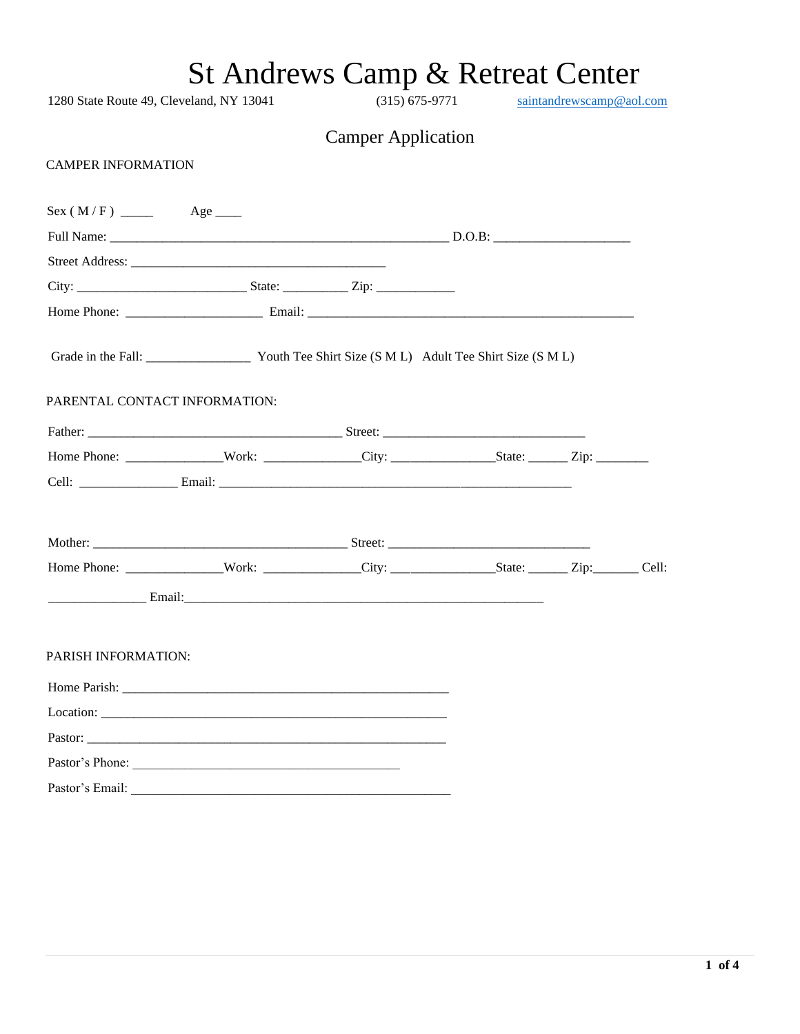1280 State Route 49, Cleveland, NY 13041 (315) 675-9771 [saintandrewscamp@aol.com](mailto:saintandrewscamp@aol.com) Camper Application CAMPER INFORMATION Sex ( M / F ) \_\_\_\_\_ Age \_\_\_\_ Full Name: \_\_\_\_\_\_\_\_\_\_\_\_\_\_\_\_\_\_\_\_\_\_\_\_\_\_\_\_\_\_\_\_\_\_\_\_\_\_\_\_\_\_\_\_\_\_\_\_\_\_\_\_ D.O.B: \_\_\_\_\_\_\_\_\_\_\_\_\_\_\_\_\_\_\_\_\_ Street Address: City: \_\_\_\_\_\_\_\_\_\_\_\_\_\_\_\_\_\_\_\_\_\_\_\_\_\_ State: \_\_\_\_\_\_\_\_\_\_ Zip: \_\_\_\_\_\_\_\_\_\_\_\_ Home Phone: \_\_\_\_\_\_\_\_\_\_\_\_\_\_\_\_\_\_\_\_\_ Email: \_\_\_\_\_\_\_\_\_\_\_\_\_\_\_\_\_\_\_\_\_\_\_\_\_\_\_\_\_\_\_\_\_\_\_\_\_\_\_\_\_\_\_\_\_\_\_\_\_\_ Grade in the Fall: Youth Tee Shirt Size (S M L) Adult Tee Shirt Size (S M L) PARENTAL CONTACT INFORMATION: Father: \_\_\_\_\_\_\_\_\_\_\_\_\_\_\_\_\_\_\_\_\_\_\_\_\_\_\_\_\_\_\_\_\_\_\_\_\_\_\_ Street: \_\_\_\_\_\_\_\_\_\_\_\_\_\_\_\_\_\_\_\_\_\_\_\_\_\_\_\_\_\_\_ Home Phone: \_\_\_\_\_\_\_\_\_\_\_\_\_\_\_Work: \_\_\_\_\_\_\_\_\_\_\_\_\_\_\_City: \_\_\_\_\_\_\_\_\_\_\_\_\_\_\_\_State: \_\_\_\_\_\_ Zip: \_\_\_\_\_\_\_\_ Cell: \_\_\_\_\_\_\_\_\_\_\_\_\_\_\_ Email: \_\_\_\_\_\_\_\_\_\_\_\_\_\_\_\_\_\_\_\_\_\_\_\_\_\_\_\_\_\_\_\_\_\_\_\_\_\_\_\_\_\_\_\_\_\_\_\_\_\_\_\_\_\_ Mother: \_\_\_\_\_\_\_\_\_\_\_\_\_\_\_\_\_\_\_\_\_\_\_\_\_\_\_\_\_\_\_\_\_\_\_\_\_\_\_ Street: \_\_\_\_\_\_\_\_\_\_\_\_\_\_\_\_\_\_\_\_\_\_\_\_\_\_\_\_\_\_\_ Home Phone: \_\_\_\_\_\_\_\_\_\_\_\_\_\_\_Work: \_\_\_\_\_\_\_\_\_\_\_\_\_\_\_City: \_\_\_\_\_\_\_\_\_\_\_\_\_\_\_\_State: \_\_\_\_\_\_ Zip:\_\_\_\_\_\_\_ Cell: \_\_\_\_\_\_\_\_\_\_\_\_\_\_\_ Email:\_\_\_\_\_\_\_\_\_\_\_\_\_\_\_\_\_\_\_\_\_\_\_\_\_\_\_\_\_\_\_\_\_\_\_\_\_\_\_\_\_\_\_\_\_\_\_\_\_\_\_\_\_\_\_ PARISH INFORMATION: Home Parish: \_\_\_\_\_\_\_\_\_\_\_\_\_\_\_\_\_\_\_\_\_\_\_\_\_\_\_\_\_\_\_\_\_\_\_\_\_\_\_\_\_\_\_\_\_\_\_\_\_\_ Location: Pastor: \_\_\_\_\_\_\_\_\_\_\_\_\_\_\_\_\_\_\_\_\_\_\_\_\_\_\_\_\_\_\_\_\_\_\_\_\_\_\_\_\_\_\_\_\_\_\_\_\_\_\_\_\_\_\_ Pastor's Phone: \_\_\_\_\_\_\_\_\_\_\_\_\_\_\_\_\_\_\_\_\_\_\_\_\_\_\_\_\_\_\_\_\_\_\_\_\_\_\_\_\_ Pastor's Email: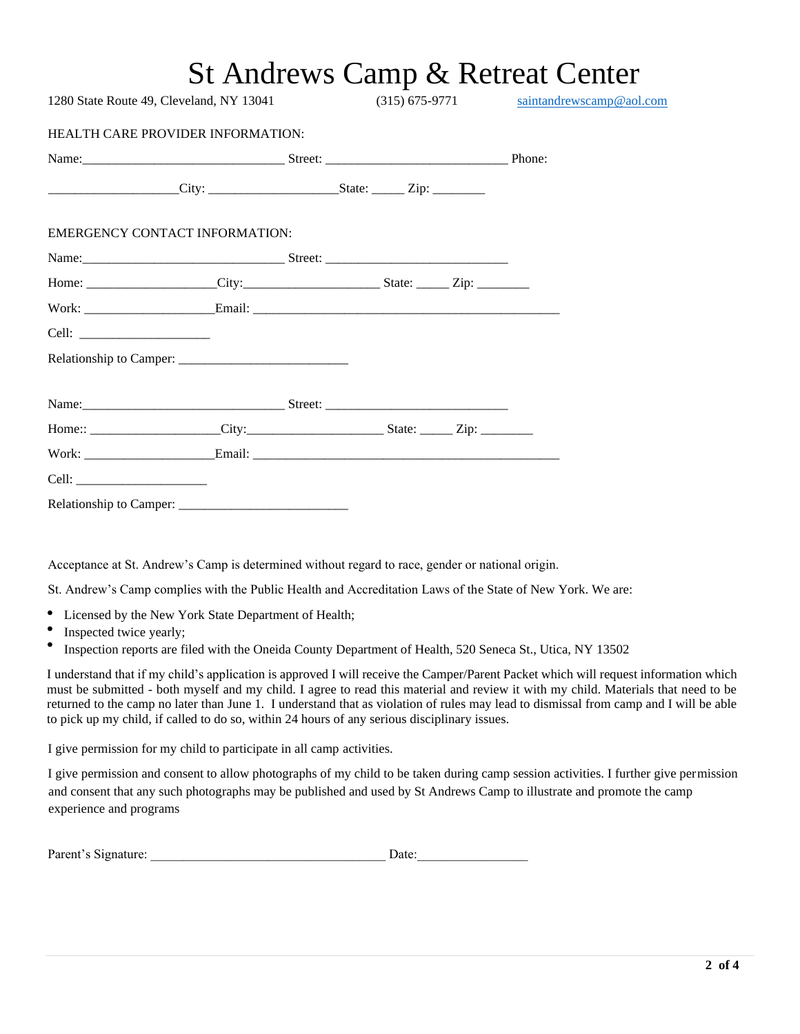| 1280 State Route 49, Cleveland, NY 13041 (315) 675-9771 saintandrewscamp@aol.com                     |  |  |  |  |  |  |
|------------------------------------------------------------------------------------------------------|--|--|--|--|--|--|
| <b>HEALTH CARE PROVIDER INFORMATION:</b>                                                             |  |  |  |  |  |  |
| Name: Phone: Phone:                                                                                  |  |  |  |  |  |  |
| $City:$ State: $Zip:$                                                                                |  |  |  |  |  |  |
| <b>EMERGENCY CONTACT INFORMATION:</b>                                                                |  |  |  |  |  |  |
|                                                                                                      |  |  |  |  |  |  |
|                                                                                                      |  |  |  |  |  |  |
|                                                                                                      |  |  |  |  |  |  |
|                                                                                                      |  |  |  |  |  |  |
|                                                                                                      |  |  |  |  |  |  |
|                                                                                                      |  |  |  |  |  |  |
| Home:: _____________________City:____________________________State: ________Zip: ___________________ |  |  |  |  |  |  |
|                                                                                                      |  |  |  |  |  |  |
|                                                                                                      |  |  |  |  |  |  |
|                                                                                                      |  |  |  |  |  |  |

Acceptance at St. Andrew's Camp is determined without regard to race, gender or national origin.

St. Andrew's Camp complies with the Public Health and Accreditation Laws of the State of New York. We are:

- Licensed by the New York State Department of Health;
- $\bullet$ Inspected twice yearly;
- $\bullet$ Inspection reports are filed with the Oneida County Department of Health, 520 Seneca St., Utica, NY 13502

I understand that if my child's application is approved I will receive the Camper/Parent Packet which will request information which must be submitted - both myself and my child. I agree to read this material and review it with my child. Materials that need to be returned to the camp no later than June 1. I understand that as violation of rules may lead to dismissal from camp and I will be able to pick up my child, if called to do so, within 24 hours of any serious disciplinary issues.

I give permission for my child to participate in all camp activities.

I give permission and consent to allow photographs of my child to be taken during camp session activities. I further give permission and consent that any such photographs may be published and used by St Andrews Camp to illustrate and promote the camp experience and programs

| Parent's Signature:<br>Jate |
|-----------------------------|
|-----------------------------|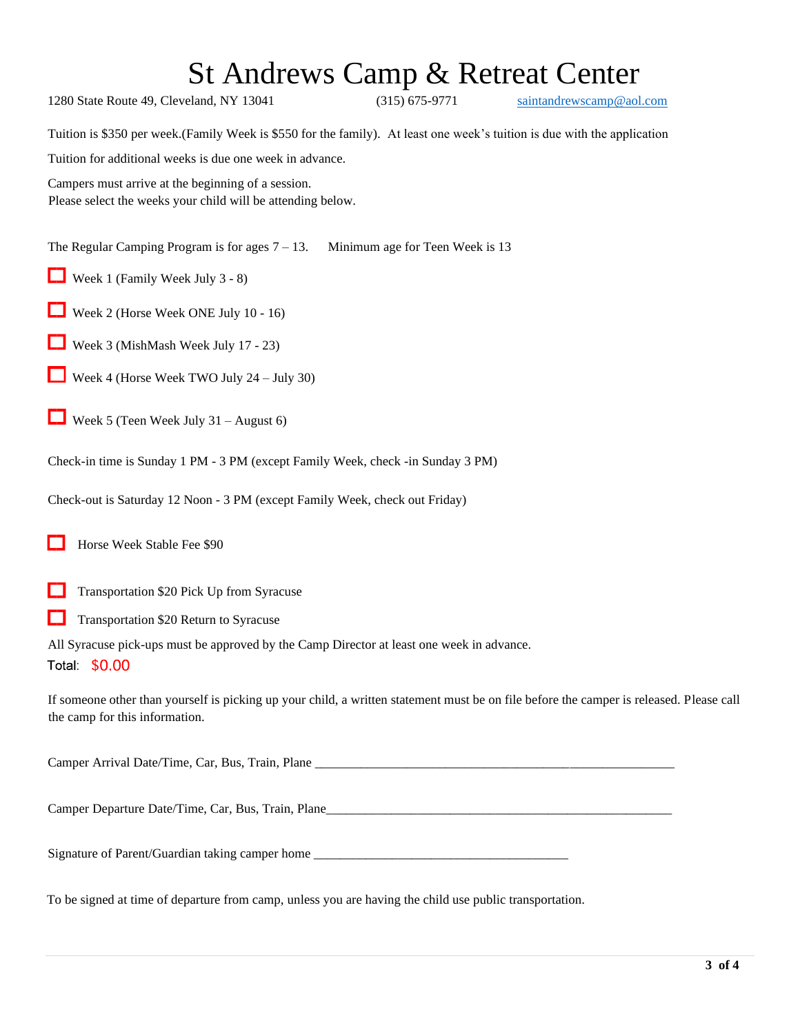| 1280 State Route 49, Cleveland, NY 13041                                                                                                                                  | $(315) 675 - 9771$              | saintandrewscamp@aol.com |  |  |  |  |
|---------------------------------------------------------------------------------------------------------------------------------------------------------------------------|---------------------------------|--------------------------|--|--|--|--|
| Tuition is \$350 per week. (Family Week is \$550 for the family). At least one week's tuition is due with the application                                                 |                                 |                          |  |  |  |  |
| Tuition for additional weeks is due one week in advance.                                                                                                                  |                                 |                          |  |  |  |  |
| Campers must arrive at the beginning of a session.<br>Please select the weeks your child will be attending below.                                                         |                                 |                          |  |  |  |  |
| The Regular Camping Program is for ages $7 - 13$ .                                                                                                                        | Minimum age for Teen Week is 13 |                          |  |  |  |  |
| Week 1 (Family Week July 3 - 8)                                                                                                                                           |                                 |                          |  |  |  |  |
| Week 2 (Horse Week ONE July 10 - 16)<br>ப                                                                                                                                 |                                 |                          |  |  |  |  |
| Week 3 (MishMash Week July 17 - 23)                                                                                                                                       |                                 |                          |  |  |  |  |
| Week 4 (Horse Week TWO July 24 – July 30)                                                                                                                                 |                                 |                          |  |  |  |  |
| Week 5 (Teen Week July $31 -$ August 6)                                                                                                                                   |                                 |                          |  |  |  |  |
| Check-in time is Sunday 1 PM - 3 PM (except Family Week, check -in Sunday 3 PM)                                                                                           |                                 |                          |  |  |  |  |
| Check-out is Saturday 12 Noon - 3 PM (except Family Week, check out Friday)                                                                                               |                                 |                          |  |  |  |  |
| Horse Week Stable Fee \$90                                                                                                                                                |                                 |                          |  |  |  |  |
| Transportation \$20 Pick Up from Syracuse                                                                                                                                 |                                 |                          |  |  |  |  |
| Transportation \$20 Return to Syracuse                                                                                                                                    |                                 |                          |  |  |  |  |
| All Syracuse pick-ups must be approved by the Camp Director at least one week in advance.<br>Total \$0.00                                                                 |                                 |                          |  |  |  |  |
| If someone other than yourself is picking up your child, a written statement must be on file before the camper is released. Please call<br>the camp for this information. |                                 |                          |  |  |  |  |
|                                                                                                                                                                           |                                 |                          |  |  |  |  |
|                                                                                                                                                                           |                                 |                          |  |  |  |  |
| Signature of Parent/Guardian taking camper home                                                                                                                           |                                 |                          |  |  |  |  |

To be signed at time of departure from camp, unless you are having the child use public transportation.